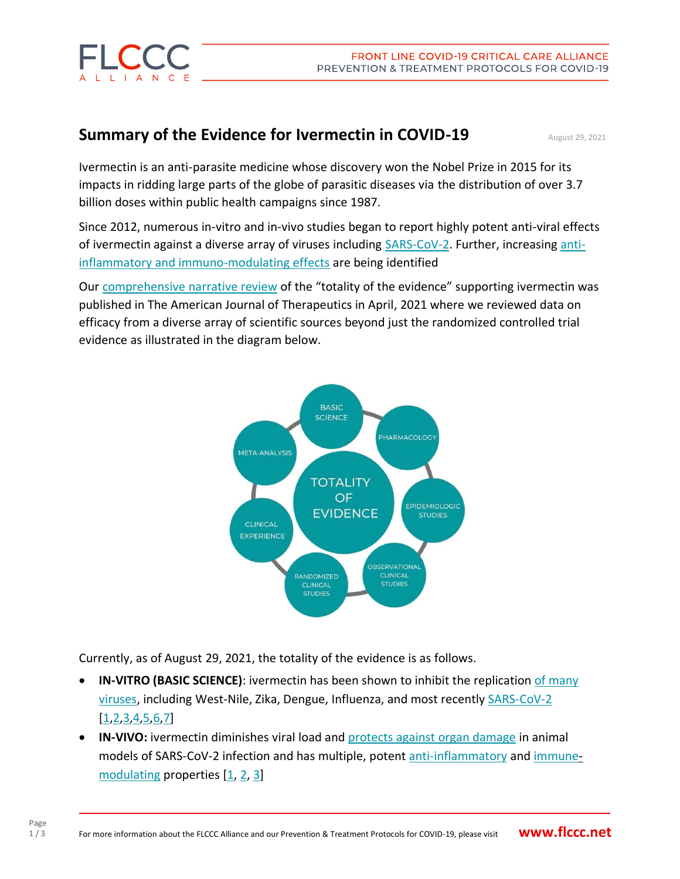

## **Summary of the Evidence for Ivermectin in COVID-19** August 29, 2021

Ivermectin is an anti-parasite medicine whose discovery won the Nobel Prize in 2015 for its impacts in ridding large parts of the globe of parasitic diseases via the distribution of over 3.7 billion doses within public health campaigns since 1987.

Since 2012, numerous in-vitro and in-vivo studies began to report highly potent anti-viral effects of ivermectin against a diverse array of viruses including SARS-CoV-2. Further, increasing antiinflammatory and immuno-modulating effects are being identified

Our comprehensive narrative review of the "totality of the evidence" supporting ivermectin was published in The American Journal of Therapeutics in April, 2021 where we reviewed data on efficacy from a diverse array of scientific sources beyond just the randomized controlled trial evidence as illustrated in the diagram below.



Currently, as of August 29, 2021, the totality of the evidence is as follows.

- **IN-VITRO (BASIC SCIENCE)**: ivermectin has been shown to inhibit the replication of many viruses, including West-Nile, Zika, Dengue, Influenza, and most recently SARS-CoV-2  $[1, 2, 3, 4, 5, 6, 7]$
- **IN-VIVO:** ivermectin diminishes viral load and protects against organ damage in animal models of SARS-CoV-2 infection and has multiple, potent anti-inflammatory and immunemodulating properties [1, 2, 3]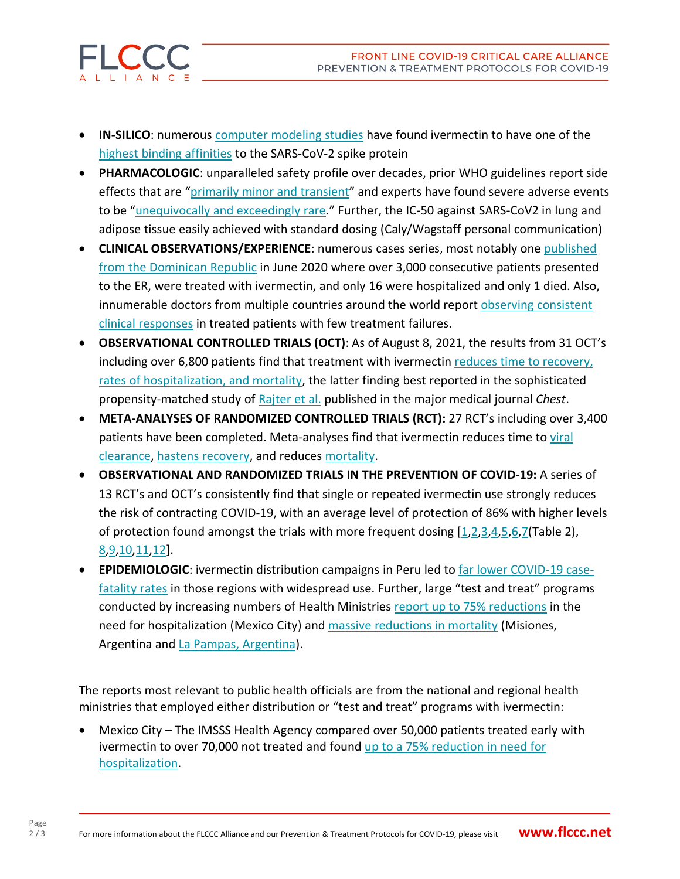- **IN-SILICO**: numerous computer modeling studies have found ivermectin to have one of the highest binding affinities to the SARS-CoV-2 spike protein
- **PHARMACOLOGIC**: unparalleled safety profile over decades, prior WHO guidelines report side effects that are "primarily minor and transient" and experts have found severe adverse events to be "unequivocally and exceedingly rare." Further, the IC-50 against SARS-CoV2 in lung and adipose tissue easily achieved with standard dosing (Caly/Wagstaff personal communication)
- **CLINICAL OBSERVATIONS/EXPERIENCE**: numerous cases series, most notably one published from the Dominican Republic in June 2020 where over 3,000 consecutive patients presented to the ER, were treated with ivermectin, and only 16 were hospitalized and only 1 died. Also, innumerable doctors from multiple countries around the world report observing consistent clinical responses in treated patients with few treatment failures.
- **OBSERVATIONAL CONTROLLED TRIALS (OCT)**: As of August 8, 2021, the results from 31 OCT's including over 6,800 patients find that treatment with ivermectin reduces time to recovery, rates of hospitalization, and mortality, the latter finding best reported in the sophisticated propensity-matched study of Rajter et al. published in the major medical journal *Chest*.
- **META-ANALYSES OF RANDOMIZED CONTROLLED TRIALS (RCT):** 27 RCT's including over 3,400 patients have been completed. Meta-analyses find that ivermectin reduces time to viral clearance, hastens recovery, and reduces mortality.
- **OBSERVATIONAL AND RANDOMIZED TRIALS IN THE PREVENTION OF COVID-19:** A series of 13 RCT's and OCT's consistently find that single or repeated ivermectin use strongly reduces the risk of contracting COVID-19, with an average level of protection of 86% with higher levels of protection found amongst the trials with more frequent dosing [1,2,3,4,5,6,7(Table 2), 8,9,10,11,12].
- **EPIDEMIOLOGIC**: ivermectin distribution campaigns in Peru led to far lower COVID-19 casefatality rates in those regions with widespread use. Further, large "test and treat" programs conducted by increasing numbers of Health Ministries report up to 75% reductions in the need for hospitalization (Mexico City) and massive reductions in mortality (Misiones, Argentina and La Pampas, Argentina).

The reports most relevant to public health officials are from the national and regional health ministries that employed either distribution or "test and treat" programs with ivermectin:

• Mexico City – The IMSSS Health Agency compared over 50,000 patients treated early with ivermectin to over 70,000 not treated and found up to a 75% reduction in need for hospitalization.